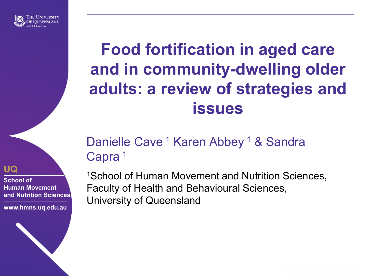

## **UQ**

**School of Human Movement and Nutrition Sciences**

**www.hmns.uq.edu.au**

## **Food fortification in aged care and in community-dwelling older adults: a review of strategies and issues**

## Danielle Cave<sup>1</sup> Karen Abbey<sup>1</sup> & Sandra Capra<sup>1</sup>

1School of Human Movement and Nutrition Sciences, Faculty of Health and Behavioural Sciences, University of Queensland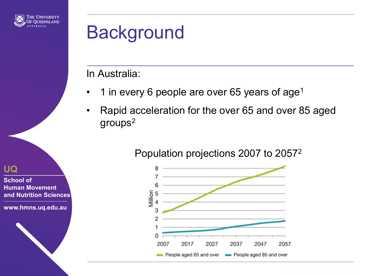

# Background

In Australia:

- 1 in every 6 people are over 65 years of age<sup>1</sup>
- Rapid acceleration for the over 65 and over 85 aged groups2





**UQ**

**School of Human Movement and Nutrition Sciences**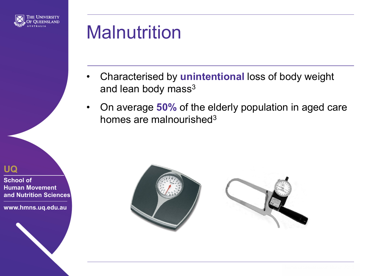

# **Malnutrition**

- Characterised by **unintentional** loss of body weight and lean body mass<sup>3</sup>
- On average **50%** of the elderly population in aged care homes are malnourished<sup>3</sup>



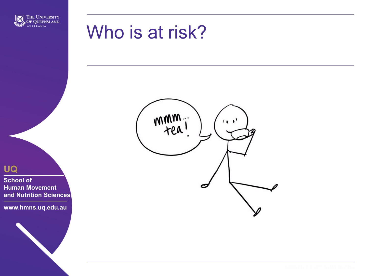

## Who is at risk?



**School of Human Movement and Nutrition Sciences**

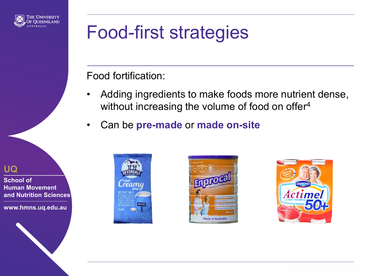

# Food-first strategies

Food fortification:

- Adding ingredients to make foods more nutrient dense, without increasing the volume of food on offer<sup>4</sup>
- Can be **pre-made** or **made on-site**

#### **UQ**

**School of Human Movement and Nutrition Sciences**





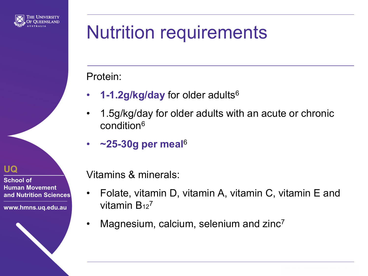

# Nutrition requirements

### Protein:

- **1-1.2g/kg/day** for older adults6
- 1.5g/kg/day for older adults with an acute or chronic condition6
- **~25-30g per meal**<sup>6</sup>

**UQ**

**School of Human Movement and Nutrition Sciences**

**www.hmns.uq.edu.au**

Vitamins & minerals:

- Folate, vitamin D, vitamin A, vitamin C, vitamin E and vitamin  $B_{12}^7$
- Magnesium, calcium, selenium and zinc<sup>7</sup>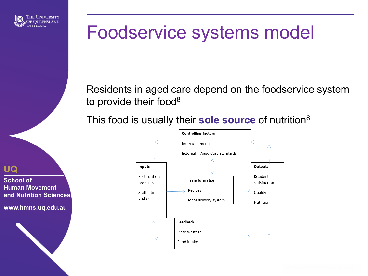

# Foodservice systems model

Residents in aged care depend on the foodservice system to provide their food<sup>8</sup>

This food is usually their **sole source** of nutrition8



**UQ**

**School of Human Movement and Nutrition Sciences**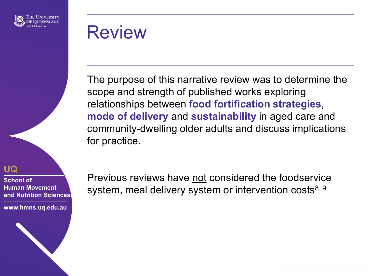

## Review

The purpose of this narrative review was to determine the scope and strength of published works exploring relationships between **food fortification strategies**, **mode of delivery** and **sustainability** in aged care and community-dwelling older adults and discuss implications for practice.

**UQ**

**School of Human Movement and Nutrition Sciences**

**www.hmns.uq.edu.au**

Previous reviews have not considered the foodservice system, meal delivery system or intervention costs<sup>8, 9</sup>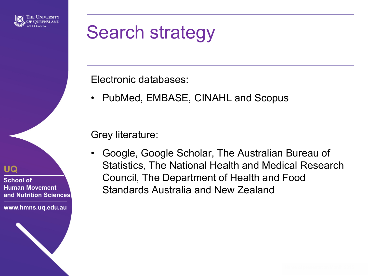

# Search strategy

Electronic databases:

• PubMed, EMBASE, CINAHL and Scopus

Grey literature:

• Google, Google Scholar, The Australian Bureau of Statistics, The National Health and Medical Research Council, The Department of Health and Food Standards Australia and New Zealand

**UQ**

**School of Human Movement and Nutrition Sciences**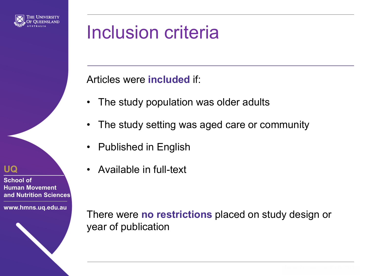

## Inclusion criteria

## Articles were **included** if:

- The study population was older adults
- The study setting was aged care or community
- Published in English
- Available in full-text

There were **no restrictions** placed on study design or year of publication

### **UQ**

**School of Human Movement and Nutrition Sciences**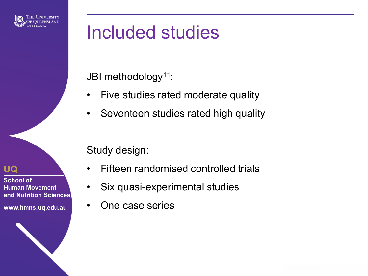

# Included studies

JBI methodology<sup>11</sup>:

- Five studies rated moderate quality
- Seventeen studies rated high quality

Study design:

- Fifteen randomised controlled trials
- Six quasi-experimental studies
- One case series

**UQ**

**School of Human Movement and Nutrition Sciences**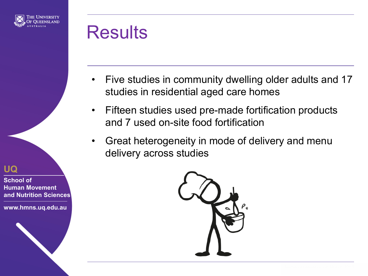

## **Results**

- Five studies in community dwelling older adults and 17 studies in residential aged care homes
- Fifteen studies used pre-made fortification products and 7 used on-site food fortification
- Great heterogeneity in mode of delivery and menu delivery across studies



#### **UQ**

**School of Human Movement and Nutrition Sciences**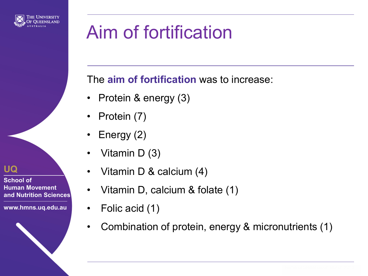

# Aim of fortification

The **aim of fortification** was to increase:

- Protein & energy (3)
- Protein (7)
- Energy (2)
- Vitamin D (3)
- Vitamin D & calcium (4)
- Vitamin D, calcium & folate (1)
- Folic acid (1)
- Combination of protein, energy & micronutrients (1)

### **UQ**

**School of Human Movement and Nutrition Sciences**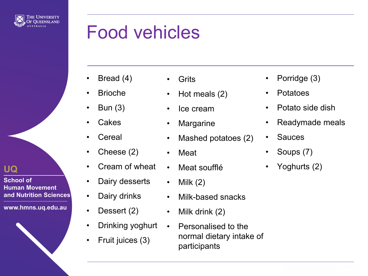

# Food vehicles

- Bread (4)
- Brioche
- Bun (3)
- **Cakes**
- **Cereal**
- Cheese (2)
- Cream of wheat
- Dairy desserts
- Dairy drinks
- Dessert (2)
- Drinking yoghurt
- Fruit juices (3)
- **Grits** 
	- Hot meals (2)
	- Ice cream
- Margarine
- Mashed potatoes (2)
- Meat
- Meat soufflé
- Milk  $(2)$
- Milk-based snacks
- Milk drink (2)
- Personalised to the normal dietary intake of participants
- Porridge (3)
- Potatoes
- Potato side dish
- Readymade meals
- Sauces
- Soups (7)
- Yoghurts (2)



**UQ**

**School of** 

**Human Movement and Nutrition Sciences**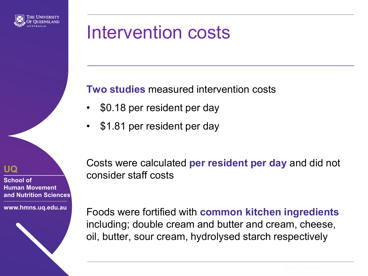

# Intervention costs

**Two studies** measured intervention costs

- \$0.18 per resident per day
- \$1.81 per resident per day

**UQ**

**School of Human Movement and Nutrition Sciences**

**www.hmns.uq.edu.au**

Costs were calculated **per resident per day** and did not consider staff costs

Foods were fortified with **common kitchen ingredients**  including; double cream and butter and cream, cheese, oil, butter, sour cream, hydrolysed starch respectively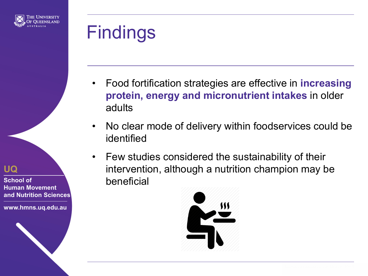

# Findings

- Food fortification strategies are effective in **increasing protein, energy and micronutrient intakes** in older adults
- No clear mode of delivery within foodservices could be identified
- Few studies considered the sustainability of their intervention, although a nutrition champion may be beneficial



#### **UQ**

**School of Human Movement and Nutrition Sciences**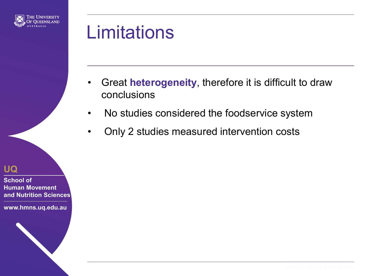

# **Limitations**

- Great **heterogeneity**, therefore it is difficult to draw conclusions
- No studies considered the foodservice system
- Only 2 studies measured intervention costs

**UQ**

**School of Human Movement and Nutrition Sciences**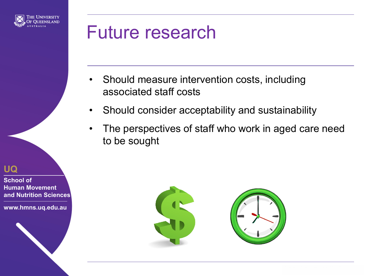

## Future research

- Should measure intervention costs, including associated staff costs
- Should consider acceptability and sustainability
- The perspectives of staff who work in aged care need to be sought

**UQ**

**School of Human Movement and Nutrition Sciences**